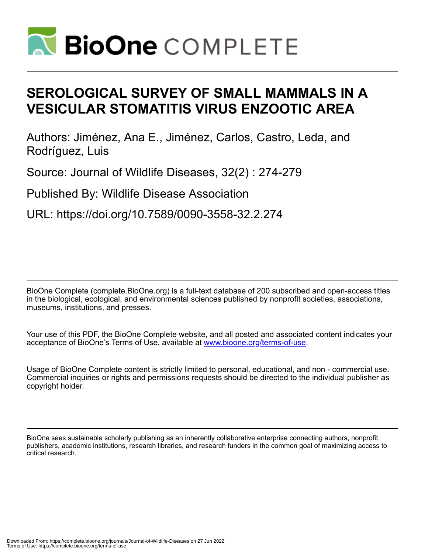

# **SEROLOGICAL SURVEY OF SMALL MAMMALS IN A VESICULAR STOMATITIS VIRUS ENZOOTIC AREA**

Authors: Jiménez, Ana E., Jiménez, Carlos, Castro, Leda, and Rodríguez, Luis

Source: Journal of Wildlife Diseases, 32(2) : 274-279

Published By: Wildlife Disease Association

URL: https://doi.org/10.7589/0090-3558-32.2.274

BioOne Complete (complete.BioOne.org) is a full-text database of 200 subscribed and open-access titles in the biological, ecological, and environmental sciences published by nonprofit societies, associations, museums, institutions, and presses.

Your use of this PDF, the BioOne Complete website, and all posted and associated content indicates your acceptance of BioOne's Terms of Use, available at www.bioone.org/terms-of-use.

Usage of BioOne Complete content is strictly limited to personal, educational, and non - commercial use. Commercial inquiries or rights and permissions requests should be directed to the individual publisher as copyright holder.

BioOne sees sustainable scholarly publishing as an inherently collaborative enterprise connecting authors, nonprofit publishers, academic institutions, research libraries, and research funders in the common goal of maximizing access to critical research.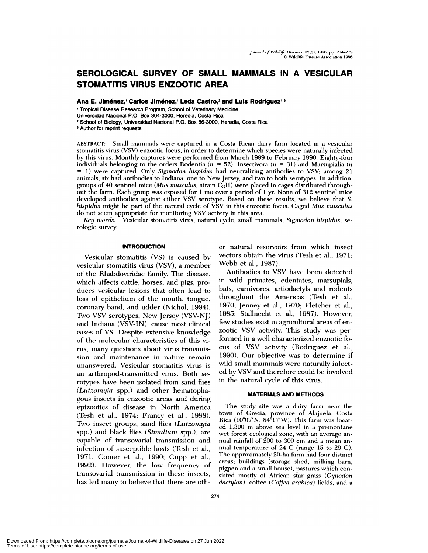# **SEROLOGICAL SURVEY OF SMALL MAMMALS IN A VESICULAR STOMATITIS VIRUS ENZOOTIC AREA**

Ana E. Jiménez,<sup>1</sup> Carlos Jiménez,<sup>1</sup> Leda Castro,<sup>2</sup> and Luis Rodríguez<sup>1,3</sup>

Tropical Disease Research Program, School of Veterinary Medicine,

Universidad Nacional P.O. Box 304-3000, Heredia, Costa Rica

<sup>2</sup> School of Biology, Universidad Nacional P.O. Box 86-3000, Heredia, Costa Rica

<sup>3</sup> Author for reprint requests

ABSTRACT: Small mammals were captured in a Costa Rican dairy farm located in a vesicular stomatitis virus (VSV) enzootic focus, in order to determine which species were naturally infected by this virus. Monthly captures were performed from March 1989 to February 1990. Eighty-four individuals belonging to the orders Rodentia *(n <sup>=</sup>* 52), Insectivora *(n <sup>=</sup>* 31) and Marsupiahia *(n =* 1) were captured. Only *Sigmodon hispidus* had neutralizing antibodies to VSV; among 21 ammimnals, six had antibodies to Indiana, one to New Jersey, and two to both serotypes. In addition, groups of 40 sentinel mice (Mus musculus, strain C<sub>3</sub>H) were placed in cages distributed throughout the farm. Each group was exposed for 1 mo over a period of 1 yr. None of 312 sentinel mice developed antibodies against eitimer VSV serotype. Based on these results, we believe that S. *hispklus* might be part of the natural cycle of VSV in timis enzootic focus. Caged *Mus musculus* do not seem appropriate for monitoring VSV activity in this area.

*Key words:* Vesicular stomatitis virus, natural cycle, small mammals, *Sigmodon hi.spidus,* serologic survey.

#### **INTRODUCTION**

Vesicular stomatitis (VS) is caused by vesicular stomatitis virus (VSV), a member of the Rhabdoviridae family. The disease, which affects cattle, horses, and pigs, prodiuces vesicular lesions that often lead to loss of epithehium of the mouth, tongue, coronary band, and udder (Nichol, 1994). Two VSV serotypes, New Jersey (VSV-NJ) and Indiana (VSV-IN), cause most clinical cases of VS. Despite extensive knowledge of the molecular characteristics of this virus, many questions about virus transmission and maintenance in nature remain unanswered. Vesicular stomatitis virus is an arthropod-transmitted virus. Both serotypes have been isolated from sand flies *(Lutzomyia* spp.) and other hematophagous immsects in enzootic areas and during epizootics of disease in North America (Tesh et al., 1974; Francy et al., 1988). Two insect groups, sand flies *(Lutzomyia*) spp.) and black flies *(Simulium spp.)*, are capable of transovarial transmission and infection of susceptible hosts (Tesh et al., 1971, Comer et al., 1990; Cupp et al., 1992). However, the low frequency of transovarial transmission in these insects, has led many to believe that there are other natural reservoirs from which insect vectors obtain the virus (Tesh et al., 1971; Webb et al., 1987).

Antibodies to VSV have been detected in wild primnates, edentates, marsupials, bats, carnivores, artiodactyls and rodents throughout the Americas (Tesh et al., 1970; Jenney et al., 1970; Fletcher et al., 1985; Stallnecht et al., 1987). However, few studies exist in agricultural areas of en zootic VSV activity. This study was performed in a well characterized enzootic fo cus of VSV activity (Rodriguez et al., 1990). Our objective was to determine if wild small mammnals were naturally infected by VSV and therefore could be involved in the natural cycle of this virus.

## **MATERIALS AND METHODS**

The study site was a dairy farm near the town of Grecia, province of Alajuela, Costa Rica (10°07'N,  $84^{\circ}17'W$ ). This farm was located 1,300 m above sea level in a premontane wet forest ecological zone, with an average an nual rainfall of 200 to 300 cm and a mean annual temperature of 24 C (range 15 to 29 C). The approximately 20-ha farm had four distinct areas; buildings (storage shed, milking barn, pigpen and a small house), pastures which consisted mnostly of African star grass *(Cynodon dactylon),* coffee *(Coffea arabica)* fields, and a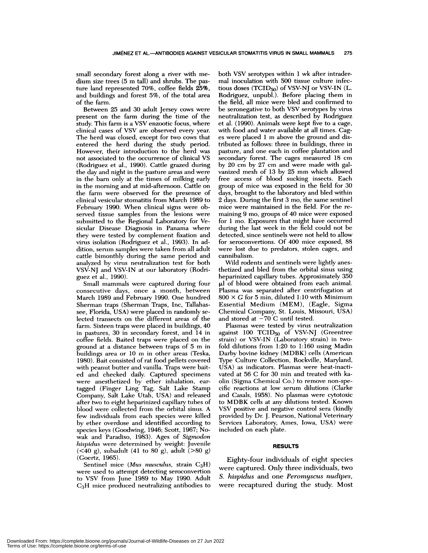small secondary forest along a river with me dium size trees (5 m tall) and shrubs. The pasture land represented 70%, coffee fields 25%, and buildings and forest 5%, of the total area of the farm.

Between 25 and 30 adult Jersey cows were present on the farm during the time of the study. This farm is a VSV enzootic focus, where clinical cases of VSV are observed every year. The herd was closed, except for two cows that entered the herd during the study period. However, their introduction to the herd was not associated to the occurrence of clinical VS (Rodriguez et ai., 1990). Cattle grazed during the day and night in the pasture areas and were in the barn only at the times of milking early in the morning and at mid-afternoon. Cattle on the farm were observed for the presence of clinical vesicular stomatitis from March 1989 to February 1990. When clinical signs were observed tissue samples from the lesions were submitted to the Regional Laboratory for Vesicular Disease Diagnosis in Panama where they were tested by complement fixation and virus isolation (Rodriguez et al., 1993). In addition, serum samples were taken from all adult cattle bimonthly during the same period and analyzed by virus neutralization test for both VSV-NJ and VSV-IN at our laboratory (Rodriguez et al., 1990).

Small mammals were captured during four consecutive days, once a month, between March 1989 and February 1990. One hundred Sherman traps (Sherman Traps, Inc, Tallahassee, Florida, USA) were placed in randomly selected transects on the different areas of the farm. Sixteen traps were placed in buildings, 40 in pastures, 30 in secondary forest, and 14 in coffee fields. Baited traps were placed on the ground at a distance between traps of 5 m in buildings area or 10 m in other areas (Teska, 1980). Bait consisted of rat food pellets covered with peanut butter and vanilla. Traps were baited and checked daily. Captured specimens were anesthetized by ether inhalation, eartagged (Finger Ling Tag, Salt Lake Stamp Company, Salt Lake Utah, USA) and released after two to eight heparinized capillary tubes of blood were collected from the orbital sinus. A few individuals from each species were killed by ether overdose and identified according to species keys (Goodwing, 1946; Scott, 1967; No wak and Paradiso, 1983). Ages of *Sigmodon hispidus* were determined by weight: Juvenile  $(**40 g**)$ , subadult  $(**41 to 80 g**)$ , adult  $(**80 g**)$ (Goertz, 1965).

Sentinel mice *(Mus musculus, strain C<sub>3</sub>H)* were used to attempt detecting seroconvertion to VSV from June 1989 to May 1990. Adult C3H mice produced neutralizing antibodies to both VSV serotypes within 1 wk after intradermal inoculation with 500 tissue culture infectious doses  $(TCID_{50})$  of VSV-NJ or VSV-IN (L. Rodriguez, unpubl.). Before placing them in the field, all mice were bled and confirmed to be seronegative to both VSV serotypes by virus neutralization test, as described by Rodriguez et a!. (1990). Animals were kept five to a cage, with food and water available at all times. Cag es were placed 1 m above the ground and distributed as follows: three in buildings, three in pasture, and one each in coffee plantation and secondary forest. The cages measured 18 cm by 20 cm by27 cm and were made with galvanized mesh of 13 by 25 mm which allowed free access of blood sucking insects. Each group of mice was exposed in the field for 30 days, brought to the laboratory and bled within 2 days. During the first 3 mo, the same sentinel mice were maintained in the field. For the re maining 9 mo, groups of 40 mice were exposed for 1 mo.Exposures that might have occurred during the last week in the field could not be detected, since sentinels were not held to allow for seroconvertions. Of 400 mice exposed, 88 were lost due to predators, stolen cages, and cannibalism.

Wild rodents and sentinels were lightly anesthetized and bled from the orbital sinus using heparinized capillary tubes. Approximately 350  $\mu$ l of blood were obtained from each animal. Plasma was separated after centrifugation at  $800 \times G$  for 5 min, diluted 1:10 with Minimum Essential Medium (MEM), (Eagle, Sigma Chemical Company, St. Louis, Missouri, USA) and stored at  $-70$  C until tested.

Plasmas were tested by virus neutralization against 100 TCID50 of VSV-NJ (Greentree strain) or VSV-IN (Laboratory strain) in twofold dilutions from 1:20 to 1:160 using Madin Darby bovine kidney (MDBK) cells (American Type Culture Collection, Rockville, Maryland, USA) as indicators. Plasmas were heat-inactivated at 56 C for 30 min and treated with kaolin (Sigma Chemical Co.) to remove non-specific reactions at low serum dilutions (Clarke and Casals, 1958). No plasmas were cytotoxic to MDBK cells at any dilutions tested. Known VSV positive and negative control sera (kindly provided by Dr. J. Pearson, National Veterinary Services Laboratory, Ames, Iowa, USA) were included on each plate.

#### **RESULTS**

were recaptured during the study. Most Eighty-four individuals of eight species were captured. Only three individuals, two S. *hispidus* and one *Peromyscus nudipes,*

Downloaded From: https://complete.bioone.org/journals/Journal-of-Wildlife-Diseases on 27 Jun 2022 Terms of Use: https://complete.bioone.org/terms-of-use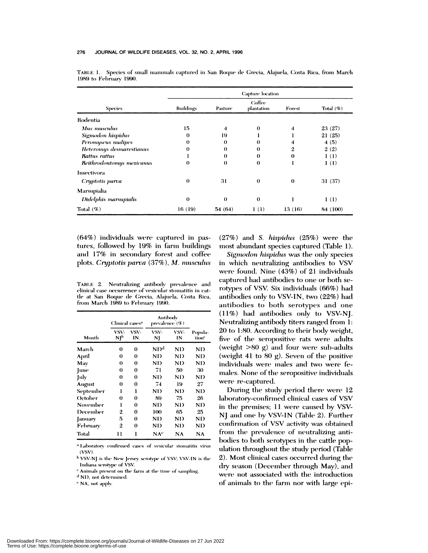| <b>Species</b>            | Capture location |                       |                      |          |           |  |  |
|---------------------------|------------------|-----------------------|----------------------|----------|-----------|--|--|
|                           | <b>Buildings</b> | Pasture               | Coffee<br>plantation | Forest   | Total (%) |  |  |
| Rodentia                  |                  |                       |                      |          |           |  |  |
| Mus musculus              | 15               | 4                     | $\bf{0}$             | 4        | 23(27)    |  |  |
| Sigmodon hispidus         | $\bf{0}$         | 19                    |                      |          | 21(25)    |  |  |
| Peromyscus nudipes        | 0                | $\boldsymbol{\theta}$ | $\bf{0}$             | 4        | 4(5)      |  |  |
| Heteromys desmarestianus  | 0                | $\theta$              | $\bf{0}$             | 2        | 2(2)      |  |  |
| Rattus rattus             |                  | $\theta$              | $\bf{0}$             | $\theta$ | 1(1)      |  |  |
| Reithrodontomys mexicanus | 0                | $\theta$              | 0                    | ı        | 1(1)      |  |  |
| Insectivora               |                  |                       |                      |          |           |  |  |
| Cryptotis parva           | 0                | 31                    | $\theta$             | $\theta$ | 31 (37)   |  |  |
| Marsupialia               |                  |                       |                      |          |           |  |  |
| Didelphis marsupialis     | $\bf{0}$         | $\theta$              | $\mathbf 0$          |          | 1(1)      |  |  |
| Total $(\%)$              | 16(19)           | 54(64)                | 1(1)                 | 13(16)   | 84 (100)  |  |  |

TABLE 1. Species of small mammals captured in San Roque de Grecia, Alajuela, Costa Rica, from March 1989 to February 1990.

 $(64%)$  individuals were captured in pastures, followed by 19% in farm buildings and 17% in secondary forest and coffee plots. Cryptotis parva (37%), *M. musculus* 

TABLE<sub>2.</sub> Neutralizing antibody prevalence and clinical case occurrence of vesicular stomatitis in cattle at San Roque de Grecia, Alajuela, Costa Rica, from March 1989 to February 1990.

| Month     | Clinical cases <sup>a</sup> |            | Antibody<br>prevalence (%) |            |                              |
|-----------|-----------------------------|------------|----------------------------|------------|------------------------------|
|           | VSV-<br>NJb                 | VSV-<br>IN | VSV-<br>NJ                 | VSV-<br>IN | Popula-<br>tion <sup>c</sup> |
| March     | 0                           | 0          | ND <sup>d</sup>            | ND.        | ND.                          |
| April     | 0                           | $\bf{0}$   | ND                         | ND.        | ND                           |
| May       | $\bf{0}$                    | 0          | ND.                        | ND         | ND                           |
| June      | $\bf{0}$                    | 0          | 71                         | 50         | 30                           |
| July      | 0                           | $\bf{0}$   | ND                         | ND.        | ND                           |
| August    | 0                           | 0          | 74                         | 19         | 27                           |
| September | ı                           | ı          | ND                         | ND         | ND                           |
| October   | 0                           | 0          | 89                         | 75         | 26                           |
| November  | ı                           | 0          | ND.                        | ND         | ND                           |
| December  | 2                           | 0          | 100                        | 65         | 25                           |
| January   | 5                           | 0          | ND                         | ND         | ND                           |
| February  | $\overline{2}$              | $\bf{0}$   | ND                         | ND         | ND                           |
| Total     | 11                          | l          | NA <sup>c</sup>            | NA         | NA                           |

Laboratory confirmed cases of vesicular stomatitis virus<br>(VSV).

<sup>b</sup> VSV-NJ is the New Jersey serotype of VSV; VSV-IN is the Indiana serotype of VSV.

" Animals present on the farm at the time of sampling.

NI), not determined.

<sup>e</sup> NA, not apply.

 $(27%)$  and *S. hispidus*  $(25%)$  were the most abundant species captured (Table 1).

**Sigmodon** hispidus was the only species in which neutralizing antibodies to VSV were found. Nine (43%) of 21 individuals captured had antibodies to one or both serotypes of VSV. Six individuals (66%) had antibodies only to VSV-IN, two (22%) had antibodies to both serotypes and one (11%) had antibodies only to VSV-NJ. Neutralizing antibody titers ranged from 1: 20 to 1:80. According to their body weight, five of the seropositive rats were adults (weight  $>80$  g) and four were sub-adults (weight 41 to 80 g). Seven of the positive individuals were males and two were females. None of the seropositive individuals were re-captured.

 $_{\rm ND}$   $_{\rm~contribution}$  of VSV activity was obtained During the study period there were 12 laboratory-confirmed clinical cases of VSV in the premises; 11 were caused by VSV-NJ and one by VSV-IN (Table 2). Further from the prevalence of neutralizing antibodies to both serotypes in the cattle population throughout the study period (Table 2). Most clinical cases occurred during the dry season (December through May), and were not associated with the introduction of animals to the farm nor with large epi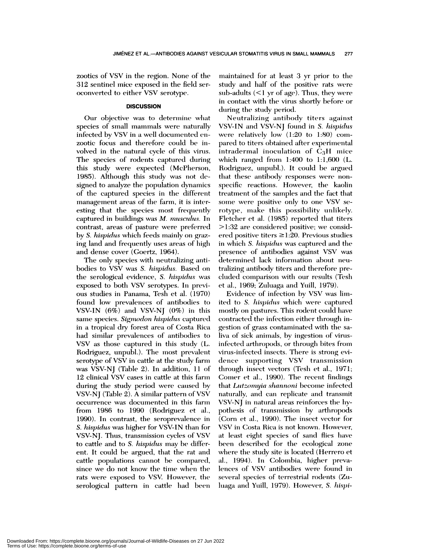zootics of VSV in the region. None of the 312 sentinel mice exposed in the field seroconverted to either VSV serotype.

# **DISCUSSION**

Our objective was to determine what species of small mammals were naturally infected by VSV in a well documented enzootic focus and therefore could be involved in the natural cycle of this virus. The species of rodents captured during this study were expected (McPherson, 1985). Although this study was not designed to analyze the population dynamics of the captured species in the different management areas of the farm, it is interesting that the species most frequently captured in buildings was *M. musculus.* In contrast, areas of pasture were preferred by S. hispidus which feeds mainly on grazing land and frequently uses areas of high and dense cover (Goertz, 1964).

The only species with neutralizing antibodies to VSV was S. *hispidus.* Based on the serological evidence, *S. hispidus* was exposed to both VSV serotypes. In previous studies in Panama, Tesh et al. (1970) found low prevalences of antibodies to VSV-IN  $(6\%)$  and VSV-NJ  $(0\%)$  in this same species. Sigmodon hispidus captured in a tropical dry forest area of Costa Rica had similar prevalemces of antibodies to VSV as those captured in this study (L. Rodriguez, unpubl.). The most prevalent serotype of VSV in cattle at the study farm was VSV-NJ (Table 2). In addition, 11 of 12 clinical VSV cases in cattle at this farm during the study period were caused by VSV-NJ (Table 2). A similar pattern of VSV occurrence was documented in this farm from 1986 to 1990 (Rodriguez et al., 1990). In contrast, the seroprevalence in S. *hispidus* was higher for VSV-IN than for VSV-NJ. Thus, transmission cycles of VSV to cattle and to S.*hispidus* mnay *be* differ ent. It could be argued, that the rat and cattle populations cannot be compared, since we do not know the time when the rats were exposed to VSV. However, the serological pattern in cattle had been maintained for at least 3 yr prior to the study and half of the positive rats were sub-adults  $($  <math>l</math> yr of age). Thus, they were in contact with the virus shortly before or during the study period.

Neutralizing antibody titers against VSV-IN and VSV-NJ found in S. *hispidus* were relatively low  $(1:20 \text{ to } 1:80)$  compared to titers obtained after experimental intradermal inoculation of  $C_3H$  mice which ranged from 1:400 to 1:1,600 (L. Rodriguez, unpubl.). It could be argued that these antibody responses were nonspecific reactions. However, the kaolin treatment of the samples and the fact that some were positive only to one VSV serotype, make this possibility unlikely. Fletcher et al.  $(1985)$  reported that titers >1:32 are considered positive; we considered positive titers  $\geq$ 1:20. Previous studies in which S. *hispidus* was captured and the presence of antibodies against VSV was determined lack information about neutralizing antibody titers and therefore precluded comparison with our results (Tesh et al., 1969; Zuluaga and Yuill, 1979).

Evidence of infection by VSV was limited to S. *hispidus* which were captured mostly on pastures. This rodent could have contracted the infection either through ingestion of grass contaminated with the saliva of sick animals, by ingestion of virusinfected arthropods, or through bites from virus-infected insects. There is strong evidence supporting VSV transmission through insect vectors (Tesh et al., 1971; Comer et al., 1990). The recent findings that *Lutzomyia shannoni* become infected naturally, and can replicate and transmit VSV-NJ in natural areas reinforces the hypothesis of transmission by arthropods (Corn et al., 1990). The insect vector for VSV in Costa Rica is not known. However, at least eight species of sand flies have been described for the ecological zone where the study site is located (Herrero et al., 1994). In Colombia, higher prevalemces of VSV antibodies were found in several species of terrestrial rodents (Zuluaga and Yuill, 1979). However, S. *hispi-*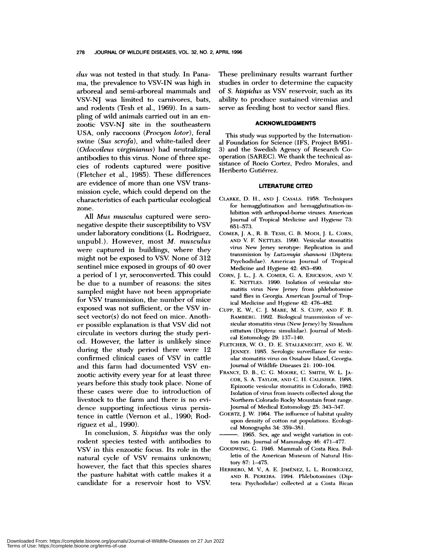*dus* was not tested in that study. In Pana ma, the prevalence to VSV-IN was high in arboreal and semi-arboreal mammals and VSV-NJ was limited to carnivores, bats, and rodents (Tesh et al., 1969). In a sam pling of wild animals earned out in an en zootic VSV-NJ site in the southeastern USA, only raccoons *(Procyon lotor),* feral swine (Sus *scrofa),* and white-tailed deer *(Odocoileus virginianus)* had neutralizing antibodies to this virus. None of three species of rodents captured were positive (Fletcher et ai., 1985). These differences are evidence of more than one VSV trans mission cycle, which could depend on the characteristics of each particular ecological zone.

All *Mus musculus* captured were seronegative despite their susceptibility to VSV under laboratory conditions (L. Rodriguez, unpubl.). However, most *M. musculus* were captured in buildings, where they might not be exposed to VSV. None of 312 sentinel mice exposed in groups of 40 over a period of 1 yr. seroconverted. This could be due to a number of reasons: the sites sampled might have not been appropriate for VSV transmission, the number of mice exposed was not sufficient, or the VSV in sect vector(s) do not feed on mice. Anoth er possible explanation is that VSV did not circulate in vectors during the study period. However, the latter is unlikely since during the study period there were 12 confirmed clinical cases of VSV in cattle and this farm had documented VSV en-<br>zootic activity every year for at least three years before this study took place. None of these cases were due to introduction of livestock to the farm and there is no evidence supporting infectious virus persistence in cattle (Vernon et ai., 1990; Rodriguez et a!., 1990).

In conclusion, S. *hispidus* was the only rodent species tested with antibodies to VSV in this enzootic focus. Its role in the natural cycle of VSV remains unknown; however, the fact that this species shares the pasture habitat with cattle makes it a candidate for a reservoir host to VSV.

These preliminary results warrant further studies in order to determine the capacity of S. *hispidus* as VSV reservoir, such as its ability to produce sustained viremias and serve as feeding host to vector sand flies.

### **ACKNOWLEDGMENTS**

This study was supported by the International Foundation for Science (IFS, Project B/951- 3) and the Swedish Agency of Research Cooperation (SAREC). We thank the technical as sistance of Rocio Cortez, Pedro Morales, and Heriberto Gutiérrez.

#### **LITERATURE CITED**

- CLARKE, D. H., **AND** J. CAsAL5. 1958. Techniques for hemagglutination and hemagglutination-in hibition with arthropod-borne viruses. American Journal of Tropical Medicine and Hygiene 73: 651-573.
- COMER, J. A., R. B. TESH, C. B. Mom, J. L. CORN, AND V. F. NETTLES. 1990. Vesicular stomatitis virus New Jersey serotype: Replication in and transmission by *Lutzomyia shannoni* (Diptera: Psychodidae). American Journal of Tropical Medicine and Hygiene 42: 483-490.
- CORN, J. L., J. A. COMER, C. A. ERICKSON, AND V. E. NETTLES. 1990. Isolation of vesicular stomatitis virus New Jersey from phlebotomine sand flies in Georgia. American Journal of Tropical Medicine and Hygiene 42: 476-482.
- CUPP, E. W, C. J. MARE, M. S. CuPP, AN1) F. B. RAMBERG. 1992. Biological transmission of vesicular stomatitis virus (New Jersey) by *Simulium vittatum* (Diptera: simuliidae). Journal of Medi cal Entomology 29: 137-140.
- **FLETCHER, W.** 0., D. E. **STALLKNECHT,** AN!) E.W. JENNEY. 1985. Serologic surveillance for vesic ular stomatitis virus on Ossabaw Island, Georgia. Journal of Wildlife Diseases 21: 100-104.
- **FRANCY,** D. B., **C. C. MOORE, C. SMITH, W. L. JA-** COB, S. A. TAYLOR, AND C. H. CALISHER. 1988. Epizootic vesicular stomatitis in Colorado, 1982: Isolation of virus from insects collected along the Northern Colorado Rocky Mountain front range. Journal of Medical Entomology 25: 343-347.
- **COERTZ, J. W. 1964. The influence of habitat quality** upon density of cotton rat populations. Ecological Monographs 34: 359-381.
- 1965. Sex, age and weight variation in cotton rats. Journal of Mammalogy 46: 471-477.
- G00DWINC, C. 1946. Mammals of Costa Rica. Bulletin of the American Museum of Natural Histomy 87:1-475.
- **HERRERO, M. V., A.** E.JIMENEZ, L. L. RoDRfcuEz, **AND R. PEREIRA. 1994.** Phlebotomines (Diptera: Psychodidae) collected at a Costa Rican